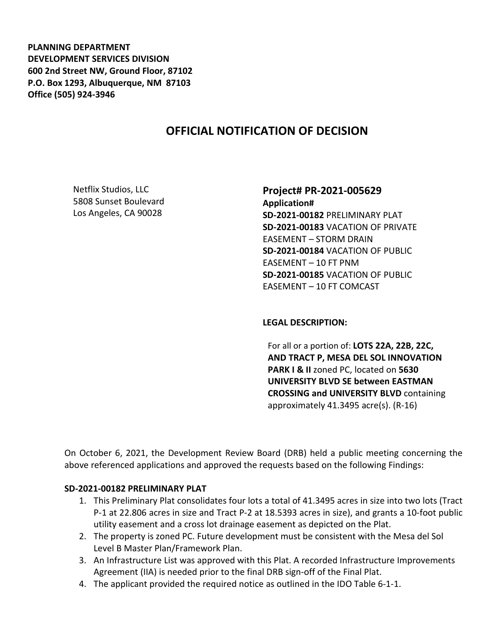**PLANNING DEPARTMENT DEVELOPMENT SERVICES DIVISION 600 2nd Street NW, Ground Floor, 87102 P.O. Box 1293, Albuquerque, NM 87103 Office (505) 924-3946** 

# **OFFICIAL NOTIFICATION OF DECISION**

Netflix Studios, LLC 5808 Sunset Boulevard Los Angeles, CA 90028

## **Project# PR-2021-005629**

**Application# SD-2021-00182** PRELIMINARY PLAT **SD-2021-00183** VACATION OF PRIVATE EASEMENT – STORM DRAIN **SD-2021-00184** VACATION OF PUBLIC EASEMENT – 10 FT PNM **SD-2021-00185** VACATION OF PUBLIC EASEMENT – 10 FT COMCAST

#### **LEGAL DESCRIPTION:**

For all or a portion of: **LOTS 22A, 22B, 22C, AND TRACT P, MESA DEL SOL INNOVATION PARK I & II** zoned PC, located on **5630 UNIVERSITY BLVD SE between EASTMAN CROSSING and UNIVERSITY BLVD** containing approximately 41.3495 acre(s). (R-16)

On October 6, 2021, the Development Review Board (DRB) held a public meeting concerning the above referenced applications and approved the requests based on the following Findings:

### **SD-2021-00182 PRELIMINARY PLAT**

- 1. This Preliminary Plat consolidates four lots a total of 41.3495 acres in size into two lots (Tract P-1 at 22.806 acres in size and Tract P-2 at 18.5393 acres in size), and grants a 10-foot public utility easement and a cross lot drainage easement as depicted on the Plat.
- 2. The property is zoned PC. Future development must be consistent with the Mesa del Sol Level B Master Plan/Framework Plan.
- 3. An Infrastructure List was approved with this Plat. A recorded Infrastructure Improvements Agreement (IIA) is needed prior to the final DRB sign-off of the Final Plat.
- 4. The applicant provided the required notice as outlined in the IDO Table 6-1-1.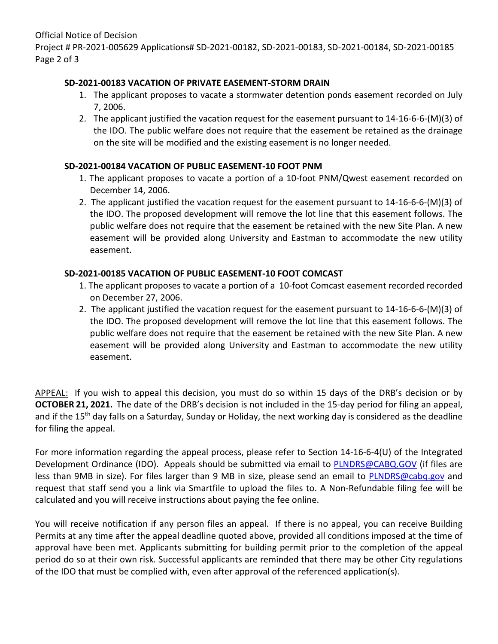Official Notice of Decision Project # PR-2021-005629 Applications# SD-2021-00182, SD-2021-00183, SD-2021-00184, SD-2021-00185 Page 2 of 3

## **SD-2021-00183 VACATION OF PRIVATE EASEMENT-STORM DRAIN**

- 1. The applicant proposes to vacate a stormwater detention ponds easement recorded on July 7, 2006.
- 2. The applicant justified the vacation request for the easement pursuant to 14-16-6-6-(M)(3) of the IDO. The public welfare does not require that the easement be retained as the drainage on the site will be modified and the existing easement is no longer needed.

## **SD-2021-00184 VACATION OF PUBLIC EASEMENT-10 FOOT PNM**

- 1. The applicant proposes to vacate a portion of a 10-foot PNM/Qwest easement recorded on December 14, 2006.
- 2. The applicant justified the vacation request for the easement pursuant to 14-16-6-6-(M)(3) of the IDO. The proposed development will remove the lot line that this easement follows. The public welfare does not require that the easement be retained with the new Site Plan. A new easement will be provided along University and Eastman to accommodate the new utility easement.

## **SD-2021-00185 VACATION OF PUBLIC EASEMENT-10 FOOT COMCAST**

- 1. The applicant proposes to vacate a portion of a 10-foot Comcast easement recorded recorded on December 27, 2006.
- 2. The applicant justified the vacation request for the easement pursuant to 14-16-6-6-(M)(3) of the IDO. The proposed development will remove the lot line that this easement follows. The public welfare does not require that the easement be retained with the new Site Plan. A new easement will be provided along University and Eastman to accommodate the new utility easement.

APPEAL: If you wish to appeal this decision, you must do so within 15 days of the DRB's decision or by **OCTOBER 21, 2021.** The date of the DRB's decision is not included in the 15-day period for filing an appeal, and if the 15<sup>th</sup> day falls on a Saturday, Sunday or Holiday, the next working day is considered as the deadline for filing the appeal.

For more information regarding the appeal process, please refer to Section 14-16-6-4(U) of the Integrated Development Ordinance (IDO). Appeals should be submitted via email to [PLNDRS@CABQ.GOV](mailto:PLNDRS@CABQ.GOV) (if files are less than 9MB in size). For files larger than 9 MB in size, please send an email to [PLNDRS@cabq.gov](mailto:PLNDRS@cabq.gov) and request that staff send you a link via Smartfile to upload the files to. A Non-Refundable filing fee will be calculated and you will receive instructions about paying the fee online.

You will receive notification if any person files an appeal. If there is no appeal, you can receive Building Permits at any time after the appeal deadline quoted above, provided all conditions imposed at the time of approval have been met. Applicants submitting for building permit prior to the completion of the appeal period do so at their own risk. Successful applicants are reminded that there may be other City regulations of the IDO that must be complied with, even after approval of the referenced application(s).